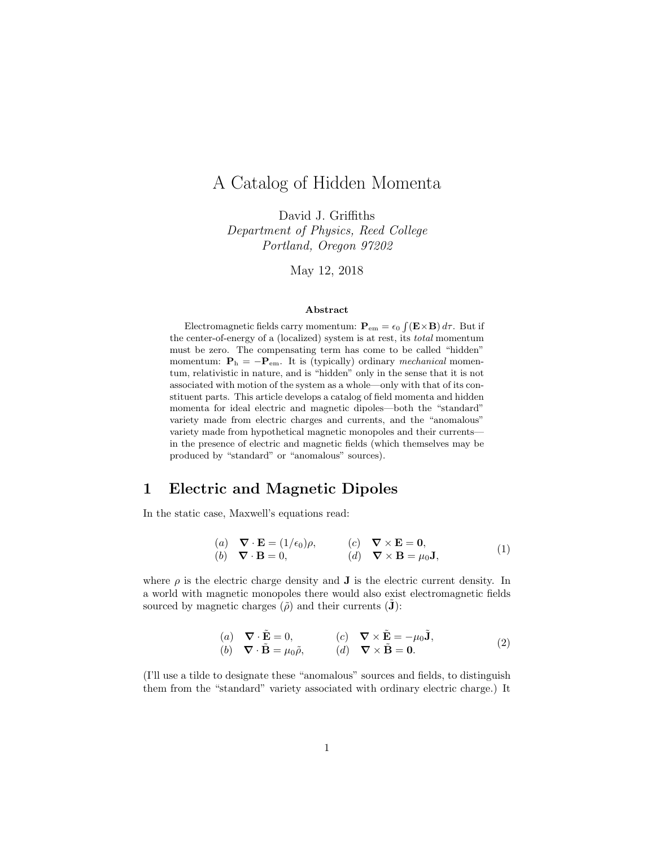# A Catalog of Hidden Momenta

David J. Griffiths Department of Physics, Reed College Portland, Oregon 97202

May 12, 2018

#### Abstract

Electromagnetic fields carry momentum:  $\mathbf{P}_{em} = \epsilon_0 \int (\mathbf{E} \times \mathbf{B}) d\tau$ . But if the center-of-energy of a (localized) system is at rest, its total momentum must be zero. The compensating term has come to be called "hidden" momentum:  $P_h = -P_{em}$ . It is (typically) ordinary mechanical momentum, relativistic in nature, and is "hidden" only in the sense that it is not associated with motion of the system as a whole—only with that of its constituent parts. This article develops a catalog of field momenta and hidden momenta for ideal electric and magnetic dipoles—both the "standard" variety made from electric charges and currents, and the "anomalous" variety made from hypothetical magnetic monopoles and their currents in the presence of electric and magnetic fields (which themselves may be produced by "standard" or "anomalous" sources).

#### 1 Electric and Magnetic Dipoles

In the static case, Maxwell's equations read:

$$
\begin{array}{ll}\n(a) & \nabla \cdot \mathbf{E} = (1/\epsilon_0)\rho, & (c) & \nabla \times \mathbf{E} = \mathbf{0}, \\
(b) & \nabla \cdot \mathbf{B} = 0, & (d) & \nabla \times \mathbf{B} = \mu_0 \mathbf{J},\n\end{array} \tag{1}
$$

where  $\rho$  is the electric charge density and **J** is the electric current density. In a world with magnetic monopoles there would also exist electromagnetic fields sourced by magnetic charges  $(\tilde{\rho})$  and their currents  $(\tilde{\mathbf{J}})$ :

(a) 
$$
\nabla \cdot \tilde{\mathbf{E}} = 0
$$
, (c)  $\nabla \times \tilde{\mathbf{E}} = -\mu_0 \tilde{\mathbf{J}}$ ,  
\n(b)  $\nabla \cdot \tilde{\mathbf{B}} = \mu_0 \tilde{\rho}$ , (d)  $\nabla \times \tilde{\mathbf{B}} = \mathbf{0}$ . (2)

(I'll use a tilde to designate these "anomalous" sources and fields, to distinguish them from the "standard" variety associated with ordinary electric charge.) It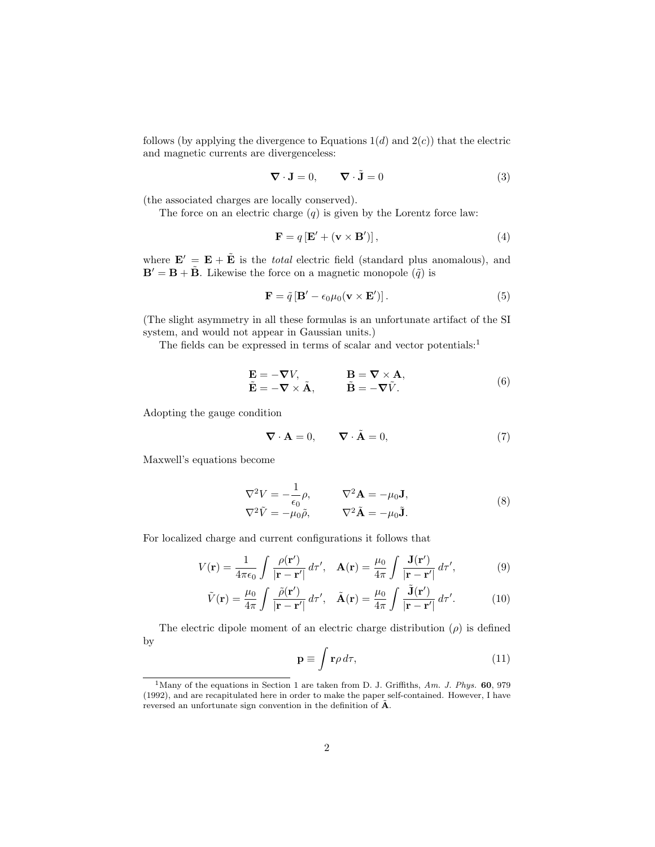follows (by applying the divergence to Equations  $1(d)$  and  $2(c)$ ) that the electric and magnetic currents are divergenceless:

$$
\nabla \cdot \mathbf{J} = 0, \qquad \nabla \cdot \tilde{\mathbf{J}} = 0 \tag{3}
$$

(the associated charges are locally conserved).

The force on an electric charge  $(q)$  is given by the Lorentz force law:

$$
\mathbf{F} = q\left[\mathbf{E}' + (\mathbf{v} \times \mathbf{B}')\right],\tag{4}
$$

where  $\mathbf{E}' = \mathbf{E} + \tilde{\mathbf{E}}$  is the *total* electric field (standard plus anomalous), and  $\mathbf{B}' = \mathbf{B} + \tilde{\mathbf{B}}$ . Likewise the force on a magnetic monopole  $(\tilde{q})$  is

$$
\mathbf{F} = \tilde{q} \left[ \mathbf{B}' - \epsilon_0 \mu_0 (\mathbf{v} \times \mathbf{E}') \right]. \tag{5}
$$

(The slight asymmetry in all these formulas is an unfortunate artifact of the SI system, and would not appear in Gaussian units.)

The fields can be expressed in terms of scalar and vector potentials:<sup>1</sup>

$$
\mathbf{E} = -\nabla V, \n\mathbf{E} = -\nabla \times \tilde{\mathbf{A}}, \qquad \mathbf{B} = \nabla \times \mathbf{A}, \n\mathbf{B} = -\nabla \tilde{V}.
$$
\n(6)

Adopting the gauge condition

$$
\nabla \cdot \mathbf{A} = 0, \qquad \nabla \cdot \tilde{\mathbf{A}} = 0,
$$
\n(7)

Maxwell's equations become

$$
\nabla^2 V = -\frac{1}{\epsilon_0} \rho, \qquad \nabla^2 \mathbf{A} = -\mu_0 \mathbf{J},
$$
  

$$
\nabla^2 \tilde{V} = -\mu_0 \tilde{\rho}, \qquad \nabla^2 \tilde{\mathbf{A}} = -\mu_0 \tilde{\mathbf{J}}.
$$
 (8)

For localized charge and current configurations it follows that

$$
V(\mathbf{r}) = \frac{1}{4\pi\epsilon_0} \int \frac{\rho(\mathbf{r}')}{|\mathbf{r} - \mathbf{r}'|} d\tau', \quad \mathbf{A}(\mathbf{r}) = \frac{\mu_0}{4\pi} \int \frac{\mathbf{J}(\mathbf{r}')}{|\mathbf{r} - \mathbf{r}'|} d\tau', \tag{9}
$$

$$
\tilde{V}(\mathbf{r}) = \frac{\mu_0}{4\pi} \int \frac{\tilde{\rho}(\mathbf{r}')}{|\mathbf{r} - \mathbf{r}'|} d\tau', \quad \tilde{\mathbf{A}}(\mathbf{r}) = \frac{\mu_0}{4\pi} \int \frac{\tilde{\mathbf{J}}(\mathbf{r}')}{|\mathbf{r} - \mathbf{r}'|} d\tau'. \tag{10}
$$

The electric dipole moment of an electric charge distribution  $(\rho)$  is defined by

$$
\mathbf{p} \equiv \int \mathbf{r} \rho \, d\tau,\tag{11}
$$

<sup>&</sup>lt;sup>1</sup>Many of the equations in Section 1 are taken from D. J. Griffiths, Am. J. Phys.  $60$ , 979 (1992), and are recapitulated here in order to make the paper self-contained. However, I have reversed an unfortunate sign convention in the definition of  $\tilde{A}$ .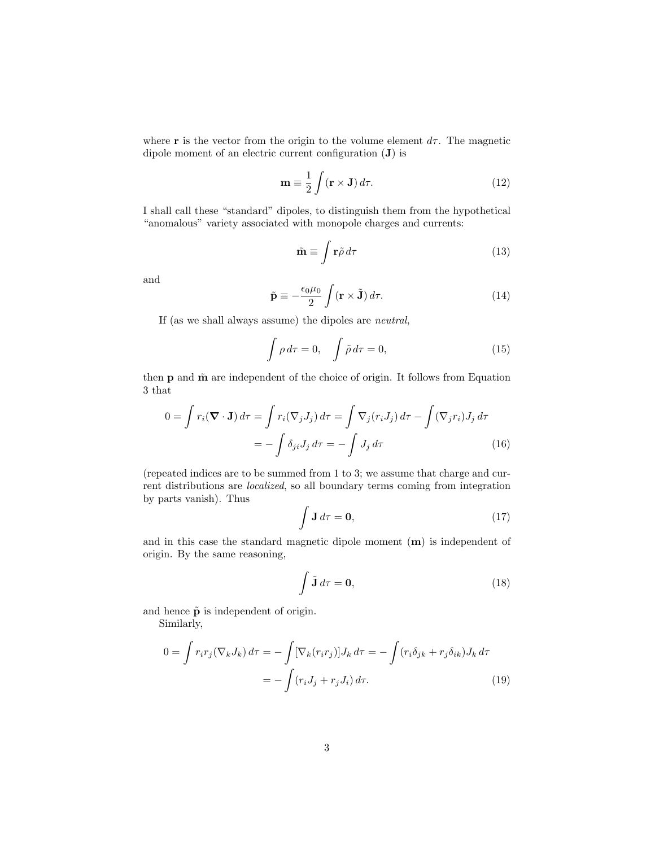where **r** is the vector from the origin to the volume element  $d\tau$ . The magnetic dipole moment of an electric current configuration (J) is

$$
\mathbf{m} \equiv \frac{1}{2} \int (\mathbf{r} \times \mathbf{J}) d\tau.
$$
 (12)

I shall call these "standard" dipoles, to distinguish them from the hypothetical "anomalous" variety associated with monopole charges and currents:

$$
\tilde{\mathbf{m}} \equiv \int \mathbf{r}\tilde{\rho} \, d\tau \tag{13}
$$

and

$$
\tilde{\mathbf{p}} \equiv -\frac{\epsilon_0 \mu_0}{2} \int (\mathbf{r} \times \tilde{\mathbf{J}}) d\tau.
$$
 (14)

If (as we shall always assume) the dipoles are neutral,

$$
\int \rho \, d\tau = 0, \quad \int \tilde{\rho} \, d\tau = 0,\tag{15}
$$

then  $p$  and  $\tilde{m}$  are independent of the choice of origin. It follows from Equation 3 that

$$
0 = \int r_i(\nabla \cdot \mathbf{J}) d\tau = \int r_i(\nabla_j J_j) d\tau = \int \nabla_j (r_i J_j) d\tau - \int (\nabla_j r_i) J_j d\tau
$$

$$
= -\int \delta_{ji} J_j d\tau = -\int J_j d\tau \tag{16}
$$

(repeated indices are to be summed from 1 to 3; we assume that charge and current distributions are localized, so all boundary terms coming from integration by parts vanish). Thus

$$
\int \mathbf{J} \, d\tau = \mathbf{0},\tag{17}
$$

and in this case the standard magnetic dipole moment (m) is independent of origin. By the same reasoning,

$$
\int \tilde{\mathbf{J}} \, d\tau = \mathbf{0},\tag{18}
$$

and hence  $\tilde{\mathbf{p}}$  is independent of origin.

Similarly,

$$
0 = \int r_i r_j (\nabla_k J_k) d\tau = -\int [\nabla_k (r_i r_j)] J_k d\tau = -\int (r_i \delta_{jk} + r_j \delta_{ik}) J_k d\tau
$$

$$
= -\int (r_i J_j + r_j J_i) d\tau.
$$
(19)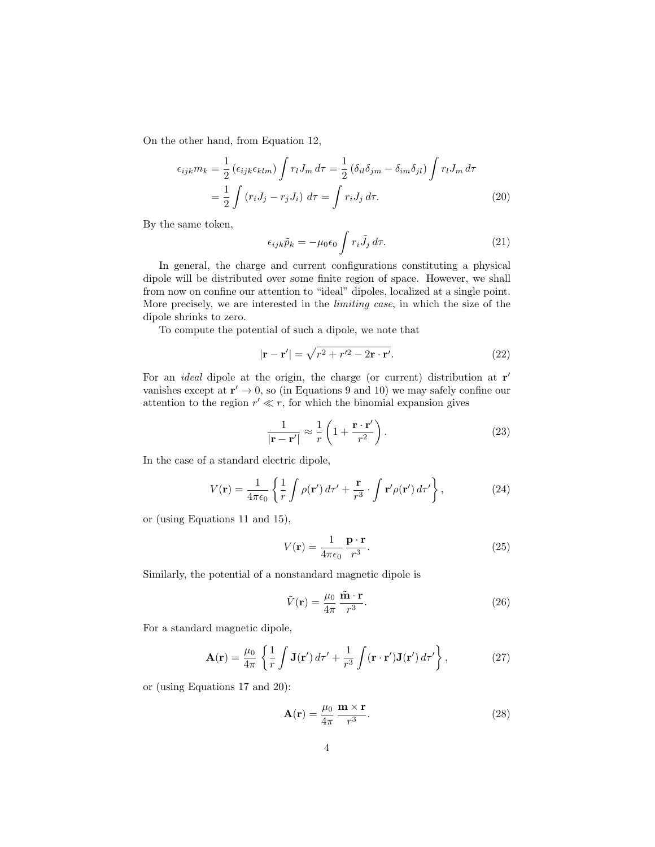On the other hand, from Equation 12,

$$
\epsilon_{ijk}m_k = \frac{1}{2} \left(\epsilon_{ijk}\epsilon_{klm}\right) \int r_l J_m d\tau = \frac{1}{2} \left(\delta_{il}\delta_{jm} - \delta_{im}\delta_{jl}\right) \int r_l J_m d\tau
$$

$$
= \frac{1}{2} \int \left(r_i J_j - r_j J_i\right) d\tau = \int r_i J_j d\tau. \tag{20}
$$

By the same token,

$$
\epsilon_{ijk}\tilde{p}_k = -\mu_0 \epsilon_0 \int r_i \tilde{J}_j \, d\tau. \tag{21}
$$

In general, the charge and current configurations constituting a physical dipole will be distributed over some finite region of space. However, we shall from now on confine our attention to "ideal" dipoles, localized at a single point. More precisely, we are interested in the *limiting case*, in which the size of the dipole shrinks to zero.

To compute the potential of such a dipole, we note that

$$
|\mathbf{r} - \mathbf{r}'| = \sqrt{r^2 + r'^2 - 2\mathbf{r} \cdot \mathbf{r}'}.
$$
 (22)

For an *ideal* dipole at the origin, the charge (or current) distribution at  $r'$ vanishes except at  $\mathbf{r}' \to 0$ , so (in Equations 9 and 10) we may safely confine our attention to the region  $r' \ll r$ , for which the binomial expansion gives

$$
\frac{1}{|\mathbf{r} - \mathbf{r}'|} \approx \frac{1}{r} \left( 1 + \frac{\mathbf{r} \cdot \mathbf{r}'}{r^2} \right). \tag{23}
$$

In the case of a standard electric dipole,

$$
V(\mathbf{r}) = \frac{1}{4\pi\epsilon_0} \left\{ \frac{1}{r} \int \rho(\mathbf{r}') d\tau' + \frac{\mathbf{r}}{r^3} \cdot \int \mathbf{r}' \rho(\mathbf{r}') d\tau' \right\},\tag{24}
$$

or (using Equations 11 and 15),

$$
V(\mathbf{r}) = \frac{1}{4\pi\epsilon_0} \frac{\mathbf{p} \cdot \mathbf{r}}{r^3}.
$$
 (25)

Similarly, the potential of a nonstandard magnetic dipole is

$$
\tilde{V}(\mathbf{r}) = \frac{\mu_0}{4\pi} \frac{\tilde{\mathbf{m}} \cdot \mathbf{r}}{r^3}.
$$
\n(26)

For a standard magnetic dipole,

$$
\mathbf{A}(\mathbf{r}) = \frac{\mu_0}{4\pi} \left\{ \frac{1}{r} \int \mathbf{J}(\mathbf{r}') d\tau' + \frac{1}{r^3} \int (\mathbf{r} \cdot \mathbf{r}') \mathbf{J}(\mathbf{r}') d\tau' \right\},\tag{27}
$$

or (using Equations 17 and 20):

$$
\mathbf{A}(\mathbf{r}) = \frac{\mu_0}{4\pi} \frac{\mathbf{m} \times \mathbf{r}}{r^3}.
$$
 (28)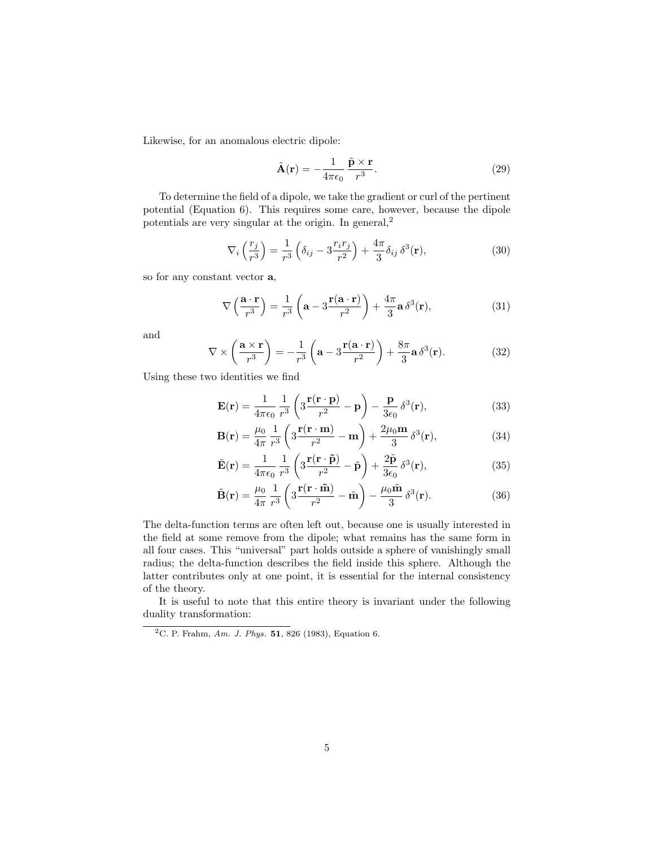Likewise, for an anomalous electric dipole:

$$
\tilde{\mathbf{A}}(\mathbf{r}) = -\frac{1}{4\pi\epsilon_0} \frac{\tilde{\mathbf{p}} \times \mathbf{r}}{r^3}.
$$
 (29)

To determine the field of a dipole, we take the gradient or curl of the pertinent potential (Equation 6). This requires some care, however, because the dipole potentials are very singular at the origin. In general,<sup>2</sup>

$$
\nabla_i \left( \frac{r_j}{r^3} \right) = \frac{1}{r^3} \left( \delta_{ij} - 3 \frac{r_i r_j}{r^2} \right) + \frac{4\pi}{3} \delta_{ij} \delta^3(\mathbf{r}), \tag{30}
$$

so for any constant vector a,

$$
\nabla \left( \frac{\mathbf{a} \cdot \mathbf{r}}{r^3} \right) = \frac{1}{r^3} \left( \mathbf{a} - 3 \frac{\mathbf{r}(\mathbf{a} \cdot \mathbf{r})}{r^2} \right) + \frac{4\pi}{3} \mathbf{a} \, \delta^3(\mathbf{r}),\tag{31}
$$

and

$$
\nabla \times \left(\frac{\mathbf{a} \times \mathbf{r}}{r^3}\right) = -\frac{1}{r^3} \left(\mathbf{a} - 3\frac{\mathbf{r}(\mathbf{a} \cdot \mathbf{r})}{r^2}\right) + \frac{8\pi}{3} \mathbf{a} \,\delta^3(\mathbf{r}).\tag{32}
$$

Using these two identities we find

$$
\mathbf{E}(\mathbf{r}) = \frac{1}{4\pi\epsilon_0} \frac{1}{r^3} \left( 3\frac{\mathbf{r}(\mathbf{r}\cdot\mathbf{p})}{r^2} - \mathbf{p} \right) - \frac{\mathbf{p}}{3\epsilon_0} \delta^3(\mathbf{r}),\tag{33}
$$

$$
\mathbf{B}(\mathbf{r}) = \frac{\mu_0}{4\pi} \frac{1}{r^3} \left( 3 \frac{\mathbf{r}(\mathbf{r} \cdot \mathbf{m})}{r^2} - \mathbf{m} \right) + \frac{2\mu_0 \mathbf{m}}{3} \delta^3(\mathbf{r}),\tag{34}
$$

$$
\tilde{\mathbf{E}}(\mathbf{r}) = \frac{1}{4\pi\epsilon_0} \frac{1}{r^3} \left( 3 \frac{\mathbf{r}(\mathbf{r} \cdot \tilde{\mathbf{p}})}{r^2} - \tilde{\mathbf{p}} \right) + \frac{2\tilde{\mathbf{p}}}{3\epsilon_0} \delta^3(\mathbf{r}),\tag{35}
$$

$$
\tilde{\mathbf{B}}(\mathbf{r}) = \frac{\mu_0}{4\pi} \frac{1}{r^3} \left( 3 \frac{\mathbf{r}(\mathbf{r} \cdot \tilde{\mathbf{m}})}{r^2} - \tilde{\mathbf{m}} \right) - \frac{\mu_0 \tilde{\mathbf{m}}}{3} \delta^3(\mathbf{r}).
$$
\n(36)

The delta-function terms are often left out, because one is usually interested in the field at some remove from the dipole; what remains has the same form in all four cases. This "universal" part holds outside a sphere of vanishingly small radius; the delta-function describes the field inside this sphere. Although the latter contributes only at one point, it is essential for the internal consistency of the theory.

It is useful to note that this entire theory is invariant under the following duality transformation:

<sup>&</sup>lt;sup>2</sup>C. P. Frahm, Am. J. Phys. **51**, 826 (1983), Equation 6.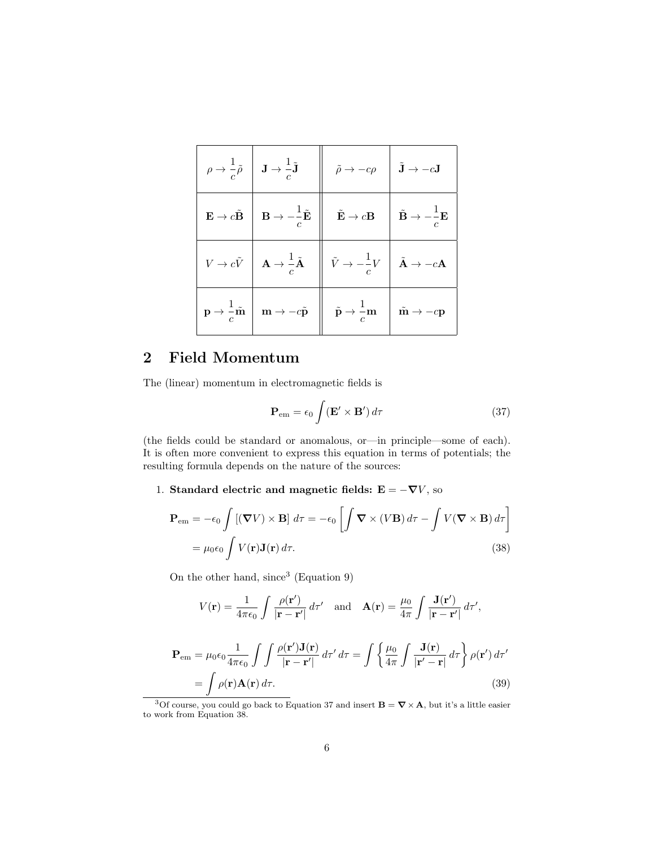| $\rho \rightarrow \frac{1}{c}\tilde{\rho} \left  \right. \left. \mathbf{J} \rightarrow \frac{1}{c}\tilde{\mathbf{J}} \right $   | $\parallel \quad \tilde{\rho} \rightarrow -c\rho \quad   \quad \tilde{\mathbf{J}} \rightarrow -c\mathbf{J}$                                                                                                                                                                                     |  |
|---------------------------------------------------------------------------------------------------------------------------------|-------------------------------------------------------------------------------------------------------------------------------------------------------------------------------------------------------------------------------------------------------------------------------------------------|--|
|                                                                                                                                 | $\begin{array}{c c c c c c c c c} \mathbf{E} \to c\tilde{\mathbf{B}} & \mathbf{B} \to -\frac{1}{c}\tilde{\mathbf{E}} & \mathbf{\tilde{E}} \to c\mathbf{B} & \mathbf{\tilde{B}} \to -\frac{1}{c}\mathbf{E} \end{array}$                                                                          |  |
| $V \rightarrow c \tilde{V}$ $\left  \begin{array}{c} \mathbf{A} \rightarrow \frac{1}{c} \tilde{\mathbf{A}} \end{array} \right $ | $\left\  \begin{array}{c} \tilde V \rightarrow -\frac{1}{c} V \end{array} \right\  \begin{array}{c} \tilde {\mathbf A} \rightarrow -c {\mathbf A} \end{array}$                                                                                                                                  |  |
|                                                                                                                                 | $\mathbf{p} \rightarrow \frac{1}{c} \tilde{\mathbf{m}} \begin{vmatrix} \mathbf{m} \rightarrow -c\tilde{\mathbf{p}} \end{vmatrix} \begin{vmatrix} \tilde{\mathbf{p}} \rightarrow \frac{1}{c} \mathbf{m} \end{vmatrix} \begin{vmatrix} \tilde{\mathbf{m}} \rightarrow -c\mathbf{p} \end{vmatrix}$ |  |

## 2 Field Momentum

The (linear) momentum in electromagnetic fields is

$$
\mathbf{P}_{em} = \epsilon_0 \int (\mathbf{E}' \times \mathbf{B}') d\tau \tag{37}
$$

(the fields could be standard or anomalous, or—in principle—some of each). It is often more convenient to express this equation in terms of potentials; the resulting formula depends on the nature of the sources:

1. Standard electric and magnetic fields:  $\mathbf{E}=-\boldsymbol{\nabla}V,$  so

$$
\mathbf{P}_{em} = -\epsilon_0 \int \left[ (\mathbf{\nabla} V) \times \mathbf{B} \right] d\tau = -\epsilon_0 \left[ \int \mathbf{\nabla} \times (V \mathbf{B}) d\tau - \int V (\mathbf{\nabla} \times \mathbf{B}) d\tau \right]
$$

$$
= \mu_0 \epsilon_0 \int V(\mathbf{r}) \mathbf{J}(\mathbf{r}) d\tau. \tag{38}
$$

On the other hand, since<sup>3</sup> (Equation 9)

$$
V(\mathbf{r}) = \frac{1}{4\pi\epsilon_0} \int \frac{\rho(\mathbf{r}')}{|\mathbf{r} - \mathbf{r}'|} d\tau' \text{ and } \mathbf{A}(\mathbf{r}) = \frac{\mu_0}{4\pi} \int \frac{\mathbf{J}(\mathbf{r}')}{|\mathbf{r} - \mathbf{r}'|} d\tau',
$$

$$
\mathbf{P}_{em} = \mu_0 \epsilon_0 \frac{1}{4\pi\epsilon_0} \int \int \frac{\rho(\mathbf{r}') \mathbf{J}(\mathbf{r})}{|\mathbf{r} - \mathbf{r}'|} d\tau' d\tau = \int \left\{ \frac{\mu_0}{4\pi} \int \frac{\mathbf{J}(\mathbf{r})}{|\mathbf{r}' - \mathbf{r}|} d\tau \right\} \rho(\mathbf{r}') d\tau'
$$

$$
= \int \rho(\mathbf{r}) \mathbf{A}(\mathbf{r}) d\tau.
$$
(39)

<sup>&</sup>lt;sup>3</sup>Of course, you could go back to Equation 37 and insert  $\mathbf{B} = \nabla \times \mathbf{A}$ , but it's a little easier to work from Equation 38.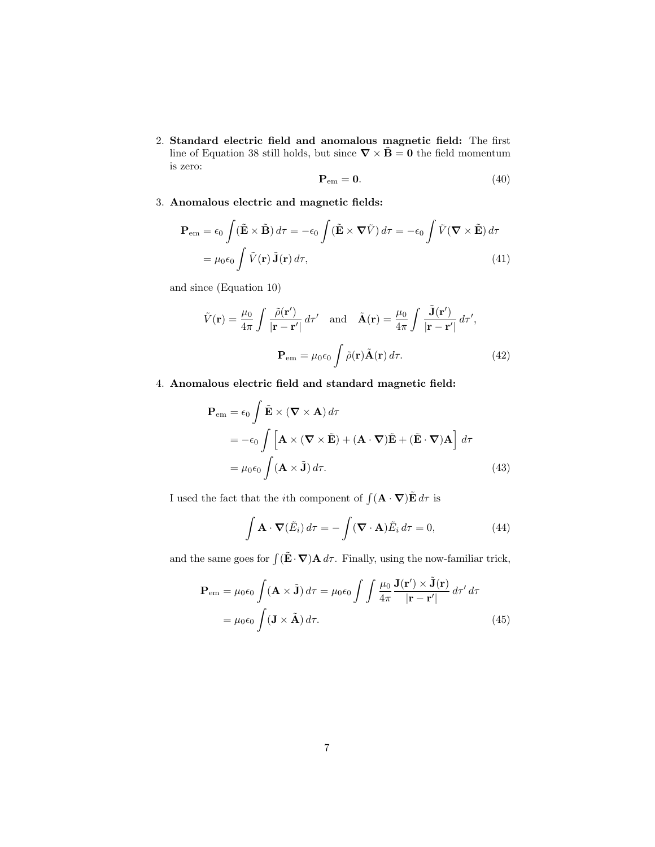2. Standard electric field and anomalous magnetic field: The first line of Equation 38 still holds, but since  $\nabla \times \tilde{\mathbf{B}} = \mathbf{0}$  the field momentum is zero:

$$
\mathbf{P}_{em} = \mathbf{0}.\tag{40}
$$

3. Anomalous electric and magnetic fields:

$$
\mathbf{P}_{em} = \epsilon_0 \int (\tilde{\mathbf{E}} \times \tilde{\mathbf{B}}) d\tau = -\epsilon_0 \int (\tilde{\mathbf{E}} \times \nabla \tilde{V}) d\tau = -\epsilon_0 \int \tilde{V} (\nabla \times \tilde{\mathbf{E}}) d\tau
$$

$$
= \mu_0 \epsilon_0 \int \tilde{V}(\mathbf{r}) \tilde{\mathbf{J}}(\mathbf{r}) d\tau, \tag{41}
$$

and since (Equation 10)

$$
\tilde{V}(\mathbf{r}) = \frac{\mu_0}{4\pi} \int \frac{\tilde{\rho}(\mathbf{r}')}{|\mathbf{r} - \mathbf{r}'|} d\tau' \text{ and } \tilde{\mathbf{A}}(\mathbf{r}) = \frac{\mu_0}{4\pi} \int \frac{\tilde{\mathbf{J}}(\mathbf{r}')}{|\mathbf{r} - \mathbf{r}'|} d\tau',
$$

$$
\mathbf{P}_{em} = \mu_0 \epsilon_0 \int \tilde{\rho}(\mathbf{r}) \tilde{\mathbf{A}}(\mathbf{r}) d\tau. \tag{42}
$$

4. Anomalous electric field and standard magnetic field:

$$
\mathbf{P}_{em} = \epsilon_0 \int \tilde{\mathbf{E}} \times (\nabla \times \mathbf{A}) d\tau
$$
  
=  $-\epsilon_0 \int [\mathbf{A} \times (\nabla \times \tilde{\mathbf{E}}) + (\mathbf{A} \cdot \nabla) \tilde{\mathbf{E}} + (\tilde{\mathbf{E}} \cdot \nabla) \mathbf{A}] d\tau$   
=  $\mu_0 \epsilon_0 \int (\mathbf{A} \times \tilde{\mathbf{J}}) d\tau.$  (43)

I used the fact that the *i*th component of  $\int (\mathbf{A} \cdot \nabla) \tilde{\mathbf{E}} d\tau$  is

$$
\int \mathbf{A} \cdot \mathbf{\nabla}(\tilde{E}_i) d\tau = -\int (\mathbf{\nabla} \cdot \mathbf{A}) \tilde{E}_i d\tau = 0,
$$
\n(44)

and the same goes for  $\int (\tilde{\mathbf{E}} \cdot \nabla) \mathbf{A} d\tau$ . Finally, using the now-familiar trick,

$$
\mathbf{P}_{em} = \mu_0 \epsilon_0 \int (\mathbf{A} \times \tilde{\mathbf{J}}) d\tau = \mu_0 \epsilon_0 \int \int \frac{\mu_0}{4\pi} \frac{\mathbf{J}(\mathbf{r}') \times \tilde{\mathbf{J}}(\mathbf{r})}{|\mathbf{r} - \mathbf{r}'|} d\tau' d\tau
$$

$$
= \mu_0 \epsilon_0 \int (\mathbf{J} \times \tilde{\mathbf{A}}) d\tau.
$$
(45)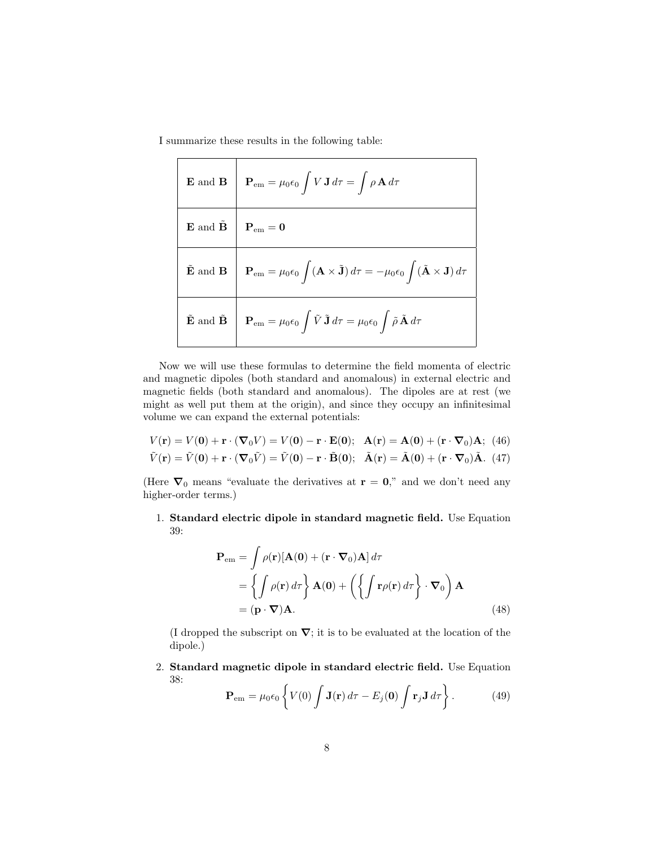I summarize these results in the following table:

| $\mathbf{E}$ and $\mathbf{B}$                 | $\mathbf{P}_{em} = \mu_0 \epsilon_0 \int V \mathbf{J} d\tau = \int \rho \mathbf{A} d\tau$                                                                    |
|-----------------------------------------------|--------------------------------------------------------------------------------------------------------------------------------------------------------------|
| ${\bf E}$ and $\tilde{{\bf B}}$               | $\mathbf{P}_{\text{em}}=\mathbf{0}$                                                                                                                          |
| $\tilde{\mathbf{E}}$ and $\mathbf{B}$         | $\mathbf{P}_{em} = \mu_0 \epsilon_0 \int (\mathbf{A} \times \tilde{\mathbf{J}}) d\tau = -\mu_0 \epsilon_0 \int (\tilde{\mathbf{A}} \times \mathbf{J}) d\tau$ |
| $\tilde{\mathbf{E}}$ and $\tilde{\mathbf{B}}$ | $\mathbf{P}_{em} = \mu_0 \epsilon_0 \int \tilde{V} \tilde{\mathbf{J}} d\tau = \mu_0 \epsilon_0 \int \tilde{\rho} \tilde{\mathbf{A}} d\tau$                   |

Now we will use these formulas to determine the field momenta of electric and magnetic dipoles (both standard and anomalous) in external electric and magnetic fields (both standard and anomalous). The dipoles are at rest (we might as well put them at the origin), and since they occupy an infinitesimal volume we can expand the external potentials:

$$
V(\mathbf{r}) = V(\mathbf{0}) + \mathbf{r} \cdot (\nabla_0 V) = V(\mathbf{0}) - \mathbf{r} \cdot \mathbf{E}(\mathbf{0}); \quad \mathbf{A}(\mathbf{r}) = \mathbf{A}(\mathbf{0}) + (\mathbf{r} \cdot \nabla_0)\mathbf{A}; \tag{46}
$$
  

$$
\tilde{V}(\mathbf{r}) = \tilde{V}(\mathbf{0}) + \mathbf{r} \cdot (\nabla_0 \tilde{V}) = \tilde{V}(\mathbf{0}) - \mathbf{r} \cdot \tilde{\mathbf{B}}(\mathbf{0}); \quad \tilde{\mathbf{A}}(\mathbf{r}) = \tilde{\mathbf{A}}(\mathbf{0}) + (\mathbf{r} \cdot \nabla_0)\tilde{\mathbf{A}}.
$$
 (47)

(Here  $\nabla_0$  means "evaluate the derivatives at  $\mathbf{r} = \mathbf{0}$ ," and we don't need any higher-order terms.)

1. Standard electric dipole in standard magnetic field. Use Equation 39:

$$
\mathbf{P}_{em} = \int \rho(\mathbf{r}) [\mathbf{A}(\mathbf{0}) + (\mathbf{r} \cdot \nabla_0) \mathbf{A}] d\tau \n= \left\{ \int \rho(\mathbf{r}) d\tau \right\} \mathbf{A}(\mathbf{0}) + \left( \left\{ \int \mathbf{r} \rho(\mathbf{r}) d\tau \right\} \cdot \nabla_0 \right) \mathbf{A} \n= (\mathbf{p} \cdot \nabla) \mathbf{A}.
$$
\n(48)

(I dropped the subscript on  $\nabla$ ; it is to be evaluated at the location of the dipole.)

2. Standard magnetic dipole in standard electric field. Use Equation 38:

$$
\mathbf{P}_{em} = \mu_0 \epsilon_0 \left\{ V(0) \int \mathbf{J}(\mathbf{r}) d\tau - E_j(\mathbf{0}) \int \mathbf{r}_j \mathbf{J} d\tau \right\}.
$$
 (49)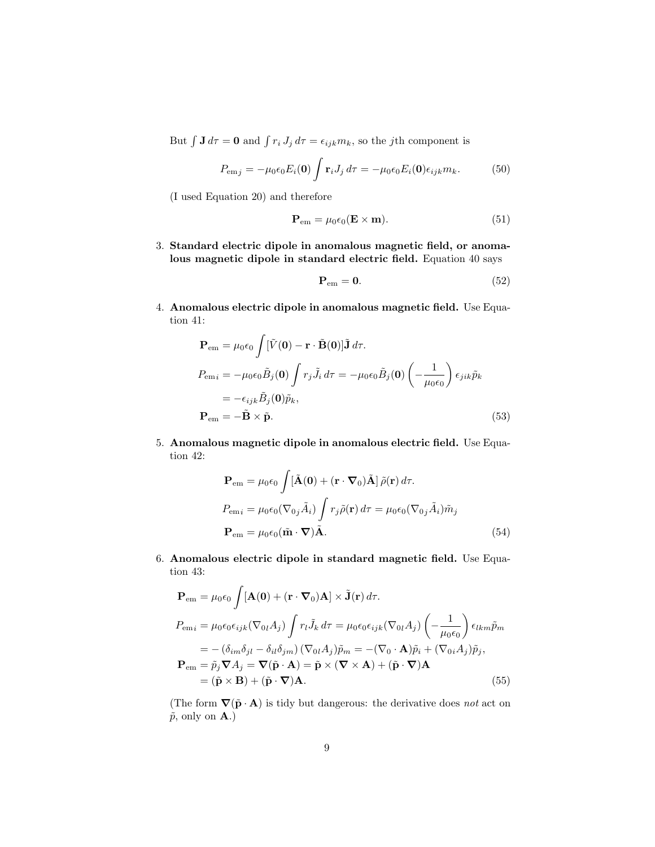But  $\int \mathbf{J} d\tau = \mathbf{0}$  and  $\int r_i J_j d\tau = \epsilon_{ijk} m_k$ , so the *j*th component is

$$
P_{\text{em}j} = -\mu_0 \epsilon_0 E_i(\mathbf{0}) \int \mathbf{r}_i J_j d\tau = -\mu_0 \epsilon_0 E_i(\mathbf{0}) \epsilon_{ijk} m_k. \tag{50}
$$

(I used Equation 20) and therefore

$$
\mathbf{P}_{em} = \mu_0 \epsilon_0 (\mathbf{E} \times \mathbf{m}). \tag{51}
$$

3. Standard electric dipole in anomalous magnetic field, or anomalous magnetic dipole in standard electric field. Equation 40 says

$$
\mathbf{P}_{em} = \mathbf{0}.\tag{52}
$$

4. Anomalous electric dipole in anomalous magnetic field. Use Equation 41:

$$
\mathbf{P}_{em} = \mu_0 \epsilon_0 \int [\tilde{V}(\mathbf{0}) - \mathbf{r} \cdot \tilde{\mathbf{B}}(\mathbf{0})] \tilde{\mathbf{J}} d\tau.
$$
  
\n
$$
P_{emi} = -\mu_0 \epsilon_0 \tilde{B}_j(\mathbf{0}) \int r_j \tilde{J}_i d\tau = -\mu_0 \epsilon_0 \tilde{B}_j(\mathbf{0}) \left( -\frac{1}{\mu_0 \epsilon_0} \right) \epsilon_{jik} \tilde{p}_k
$$
  
\n
$$
= -\epsilon_{ijk} \tilde{B}_j(\mathbf{0}) \tilde{p}_k,
$$
  
\n
$$
\mathbf{P}_{em} = -\tilde{\mathbf{B}} \times \tilde{\mathbf{p}}.
$$
\n(53)

5. Anomalous magnetic dipole in anomalous electric field. Use Equation 42:

$$
\mathbf{P}_{em} = \mu_0 \epsilon_0 \int [\tilde{\mathbf{A}}(\mathbf{0}) + (\mathbf{r} \cdot \nabla_0) \tilde{\mathbf{A}}] \tilde{\rho}(\mathbf{r}) d\tau.
$$
  
\n
$$
P_{emi} = \mu_0 \epsilon_0 (\nabla_{0j} \tilde{A}_i) \int r_j \tilde{\rho}(\mathbf{r}) d\tau = \mu_0 \epsilon_0 (\nabla_{0j} \tilde{A}_i) \tilde{m}_j
$$
  
\n
$$
\mathbf{P}_{em} = \mu_0 \epsilon_0 (\tilde{\mathbf{m}} \cdot \nabla) \tilde{\mathbf{A}}.
$$
\n(54)

6. Anomalous electric dipole in standard magnetic field. Use Equation 43:

$$
\mathbf{P}_{em} = \mu_0 \epsilon_0 \int [\mathbf{A}(\mathbf{0}) + (\mathbf{r} \cdot \nabla_0) \mathbf{A}] \times \tilde{\mathbf{J}}(\mathbf{r}) d\tau.
$$
  
\n
$$
P_{emi} = \mu_0 \epsilon_0 \epsilon_{ijk} (\nabla_{0l} A_j) \int r_l \tilde{J}_k d\tau = \mu_0 \epsilon_0 \epsilon_{ijk} (\nabla_{0l} A_j) \left( -\frac{1}{\mu_0 \epsilon_0} \right) \epsilon_{lkm} \tilde{p}_m
$$
  
\n
$$
= -(\delta_{im} \delta_{jl} - \delta_{il} \delta_{jm}) (\nabla_{0l} A_j) \tilde{p}_m = -(\nabla_0 \cdot \mathbf{A}) \tilde{p}_i + (\nabla_{0i} A_j) \tilde{p}_j,
$$
  
\n
$$
\mathbf{P}_{em} = \tilde{p}_j \nabla A_j = \nabla (\tilde{\mathbf{p}} \cdot \mathbf{A}) = \tilde{\mathbf{p}} \times (\nabla \times \mathbf{A}) + (\tilde{\mathbf{p}} \cdot \nabla) \mathbf{A}
$$
  
\n
$$
= (\tilde{\mathbf{p}} \times \mathbf{B}) + (\tilde{\mathbf{p}} \cdot \nabla) \mathbf{A}.
$$
 (55)

(The form  $\nabla(\tilde{\mathbf{p}} \cdot \mathbf{A})$  is tidy but dangerous: the derivative does not act on  $\tilde{p}$ , only on **A**.)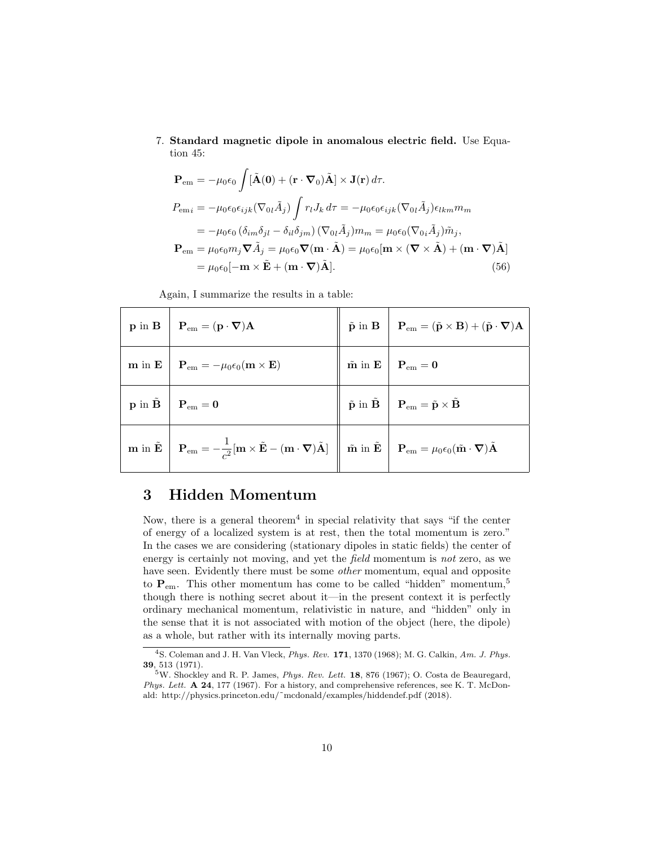7. Standard magnetic dipole in anomalous electric field. Use Equation 45:

$$
\mathbf{P}_{em} = -\mu_0 \epsilon_0 \int [\tilde{\mathbf{A}}(\mathbf{0}) + (\mathbf{r} \cdot \nabla_0) \tilde{\mathbf{A}}] \times \mathbf{J}(\mathbf{r}) d\tau.
$$
  
\n
$$
P_{emi} = -\mu_0 \epsilon_0 \epsilon_{ijk} (\nabla_{0l} \tilde{A}_j) \int r_l J_k d\tau = -\mu_0 \epsilon_0 \epsilon_{ijk} (\nabla_{0l} \tilde{A}_j) \epsilon_{lkm} m_m
$$
  
\n
$$
= -\mu_0 \epsilon_0 (\delta_{im} \delta_{jl} - \delta_{il} \delta_{jm}) (\nabla_{0l} \tilde{A}_j) m_m = \mu_0 \epsilon_0 (\nabla_{0i} \tilde{A}_j) \tilde{m}_j,
$$
  
\n
$$
\mathbf{P}_{em} = \mu_0 \epsilon_0 m_j \nabla \tilde{A}_j = \mu_0 \epsilon_0 \nabla (\mathbf{m} \cdot \tilde{\mathbf{A}}) = \mu_0 \epsilon_0 [\mathbf{m} \times (\nabla \times \tilde{\mathbf{A}}) + (\mathbf{m} \cdot \nabla) \tilde{\mathbf{A}}]
$$
  
\n
$$
= \mu_0 \epsilon_0 [-\mathbf{m} \times \tilde{\mathbf{E}} + (\mathbf{m} \cdot \nabla) \tilde{\mathbf{A}}].
$$
 (56)

Again, I summarize the results in a table:

| $\mathbf{p}$ in $\mathbf{B}$ $\mathbf{P}_{em} = (\mathbf{p} \cdot \nabla) \mathbf{A}$                                                                                                                                                                                                                                                                                                                                                                           | $\hat{\mathbf{p}}$ in <b>B</b> $\mathbf{P}_{em} = (\tilde{\mathbf{p}} \times \mathbf{B}) + (\tilde{\mathbf{p}} \cdot \nabla)\mathbf{A}$ |
|-----------------------------------------------------------------------------------------------------------------------------------------------------------------------------------------------------------------------------------------------------------------------------------------------------------------------------------------------------------------------------------------------------------------------------------------------------------------|-----------------------------------------------------------------------------------------------------------------------------------------|
| $\mathbf{m}$ in $\mathbf{E}$   $\mathbf{P}_{em} = -\mu_0 \epsilon_0 (\mathbf{m} \times \mathbf{E})$                                                                                                                                                                                                                                                                                                                                                             | $\hat{\mathbf{m}}$ in $\mathbf{E}$ $\begin{array}{ c c } \hline \mathbf{P}_{em}=\mathbf{0} \end{array}$                                 |
| $\mathbf{p}$ in $\tilde{\mathbf{B}}$   $\mathbf{P}_{em} = \mathbf{0}$                                                                                                                                                                                                                                                                                                                                                                                           | $\left\  \tilde{\mathbf{p}} \text{ in } \tilde{\mathbf{B}} \right\  \mathbf{P}_{em} = \tilde{\mathbf{p}} \times \tilde{\mathbf{B}}$     |
| $\mathbf{m} \text{ in } \tilde{\mathbf{E}} \left[ \begin{array}{c} \mathbf{P}_{em} = -\frac{1}{c^2}[\mathbf{m}\times\tilde{\mathbf{E}} - (\mathbf{m}\cdot\boldsymbol{\nabla})\tilde{\mathbf{A}}] \end{array} \right] \left[ \begin{array}{c} \tilde{\mathbf{m}} \text{ in } \tilde{\mathbf{E}} \end{array} \right] \left[ \begin{array}{c} \mathbf{P}_{em} = \mu_0\epsilon_0(\tilde{\mathbf{m}}\cdot\boldsymbol{\nabla})\tilde{\mathbf{A}} \end{array} \right]$ |                                                                                                                                         |

## 3 Hidden Momentum

Now, there is a general theorem<sup>4</sup> in special relativity that says "if the center of energy of a localized system is at rest, then the total momentum is zero." In the cases we are considering (stationary dipoles in static fields) the center of energy is certainly not moving, and yet the field momentum is not zero, as we have seen. Evidently there must be some *other* momentum, equal and opposite to  $P_{\text{em}}$ . This other momentum has come to be called "hidden" momentum,<sup>5</sup> though there is nothing secret about it—in the present context it is perfectly ordinary mechanical momentum, relativistic in nature, and "hidden" only in the sense that it is not associated with motion of the object (here, the dipole) as a whole, but rather with its internally moving parts.

<sup>4</sup>S. Coleman and J. H. Van Vleck, Phys. Rev. 171, 1370 (1968); M. G. Calkin, Am. J. Phys. 39, 513 (1971).

 $5W$ . Shockley and R. P. James, *Phys. Rev. Lett.* **18**, 876 (1967); O. Costa de Beauregard, Phys. Lett. A 24, 177 (1967). For a history, and comprehensive references, see K. T. McDonald: http://physics.princeton.edu/˜mcdonald/examples/hiddendef.pdf (2018).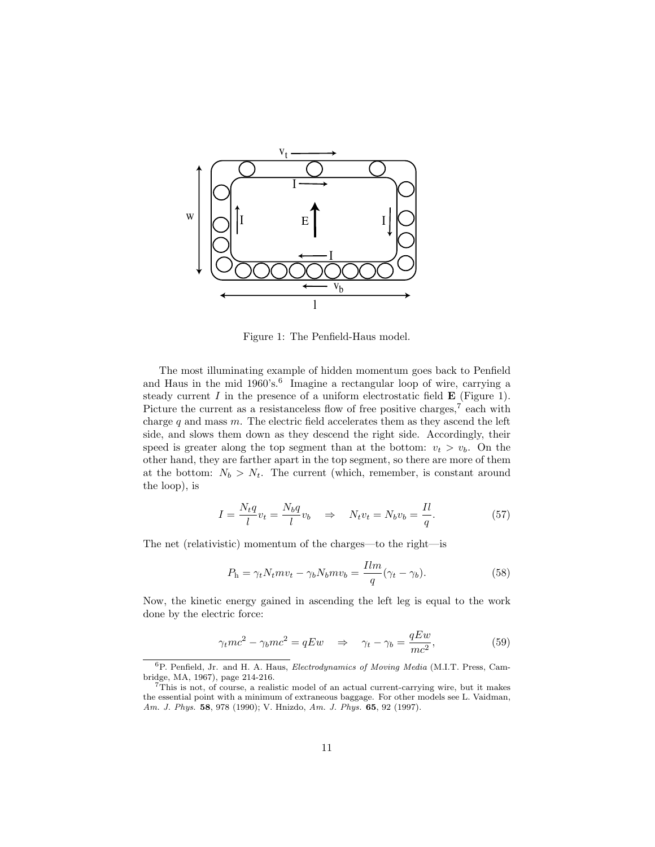

Figure 1: The Penfield-Haus model.

The most illuminating example of hidden momentum goes back to Penfield and Haus in the mid 1960's.<sup>6</sup> Imagine a rectangular loop of wire, carrying a steady current  $I$  in the presence of a uniform electrostatic field  $\bf{E}$  (Figure 1). Picture the current as a resistanceless flow of free positive charges,<sup>7</sup> each with charge  $q$  and mass  $m$ . The electric field accelerates them as they ascend the left side, and slows them down as they descend the right side. Accordingly, their speed is greater along the top segment than at the bottom:  $v_t > v_b$ . On the other hand, they are farther apart in the top segment, so there are more of them at the bottom:  $N_b > N_t$ . The current (which, remember, is constant around the loop), is

$$
I = \frac{N_t q}{l} v_t = \frac{N_b q}{l} v_b \quad \Rightarrow \quad N_t v_t = N_b v_b = \frac{I l}{q}.
$$
 (57)

The net (relativistic) momentum of the charges—to the right—is

$$
P_{\rm h} = \gamma_t N_t m v_t - \gamma_b N_b m v_b = \frac{I l m}{q} (\gamma_t - \gamma_b). \tag{58}
$$

Now, the kinetic energy gained in ascending the left leg is equal to the work done by the electric force:

$$
\gamma_t mc^2 - \gamma_b mc^2 = qEw \quad \Rightarrow \quad \gamma_t - \gamma_b = \frac{qEw}{mc^2},\tag{59}
$$

<sup>6</sup>P. Penfield, Jr. and H. A. Haus, Electrodynamics of Moving Media (M.I.T. Press, Cambridge, MA, 1967), page 214-216.

<sup>&</sup>lt;sup>7</sup>This is not, of course, a realistic model of an actual current-carrying wire, but it makes the essential point with a minimum of extraneous baggage. For other models see L. Vaidman, Am. J. Phys. 58, 978 (1990); V. Hnizdo, Am. J. Phys. 65, 92 (1997).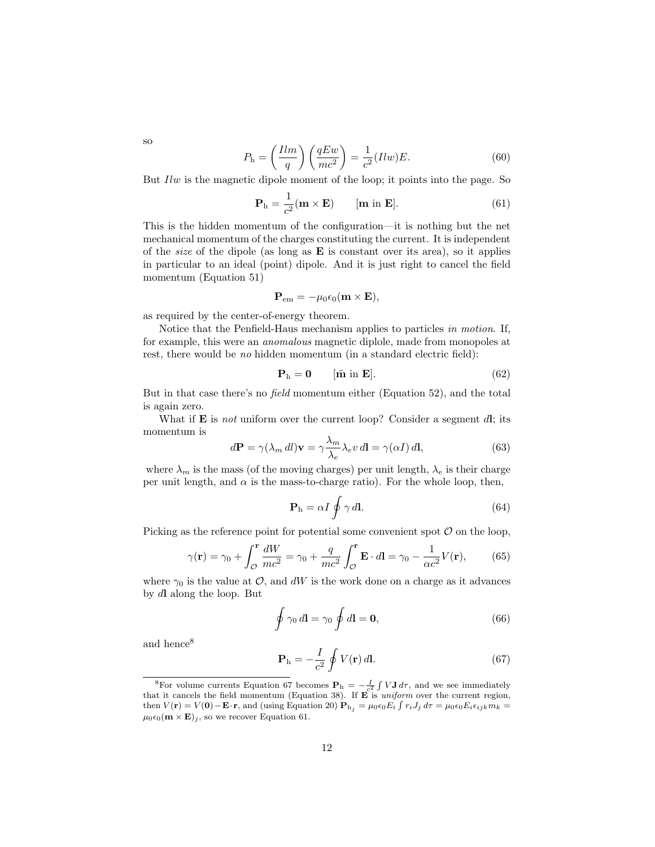so

$$
P_{\rm h} = \left(\frac{Ilm}{q}\right) \left(\frac{qEw}{mc^2}\right) = \frac{1}{c^2} (Ilw)E. \tag{60}
$$

But Ilw is the magnetic dipole moment of the loop; it points into the page. So

$$
\mathbf{P}_{h} = \frac{1}{c^{2}} (\mathbf{m} \times \mathbf{E}) \qquad [\mathbf{m} \text{ in } \mathbf{E}]. \tag{61}
$$

This is the hidden momentum of the configuration—it is nothing but the net mechanical momentum of the charges constituting the current. It is independent of the *size* of the dipole (as long as  $E$  is constant over its area), so it applies in particular to an ideal (point) dipole. And it is just right to cancel the field momentum (Equation 51)

$$
\mathbf{P}_{em} = -\mu_0 \epsilon_0 (\mathbf{m} \times \mathbf{E}),
$$

as required by the center-of-energy theorem.

Notice that the Penfield-Haus mechanism applies to particles in motion. If, for example, this were an anomalous magnetic diplole, made from monopoles at rest, there would be no hidden momentum (in a standard electric field):

$$
\mathbf{P}_{h} = \mathbf{0} \qquad [\tilde{\mathbf{m}} \text{ in } \mathbf{E}]. \tag{62}
$$

But in that case there's no field momentum either (Equation 52), and the total is again zero.

What if  $\bf{E}$  is not uniform over the current loop? Consider a segment dl; its momentum is

$$
d\mathbf{P} = \gamma(\lambda_m \, dl)\mathbf{v} = \gamma \frac{\lambda_m}{\lambda_e} \lambda_e v \, dl = \gamma(\alpha I) \, dl,\tag{63}
$$

where  $\lambda_m$  is the mass (of the moving charges) per unit length,  $\lambda_e$  is their charge per unit length, and  $\alpha$  is the mass-to-charge ratio). For the whole loop, then,

$$
\mathbf{P}_{\mathrm{h}} = \alpha I \oint \gamma \, d\mathbf{l}.\tag{64}
$$

Picking as the reference point for potential some convenient spot  $\mathcal O$  on the loop,

$$
\gamma(\mathbf{r}) = \gamma_0 + \int_{\mathcal{O}}^{\mathbf{r}} \frac{dW}{mc^2} = \gamma_0 + \frac{q}{mc^2} \int_{\mathcal{O}}^{\mathbf{r}} \mathbf{E} \cdot d\mathbf{l} = \gamma_0 - \frac{1}{\alpha c^2} V(\mathbf{r}),\tag{65}
$$

where  $\gamma_0$  is the value at  $\mathcal{O}$ , and dW is the work done on a charge as it advances by dl along the loop. But

$$
\oint \gamma_0 \, d\mathbf{l} = \gamma_0 \oint d\mathbf{l} = \mathbf{0},\tag{66}
$$

and hence<sup>8</sup>

$$
\mathbf{P}_{\mathrm{h}} = -\frac{I}{c^2} \oint V(\mathbf{r}) \, d\mathbf{l}.\tag{67}
$$

<sup>&</sup>lt;sup>8</sup>For volume currents Equation 67 becomes  $P_h = -\frac{I}{c^2} \int V \mathbf{J} d\tau$ , and we see immediately that it cancels the field momentum (Equation 38). If  $\mathbf{E}$  is *uniform* over the current region, then  $V(\mathbf{r}) = V(\mathbf{0}) - \mathbf{E} \cdot \mathbf{r}$ , and (using Equation 20)  $\mathbf{P}_{h_j} = \mu_0 \epsilon_0 E_i \int r_i J_j d\tau = \mu_0 \epsilon_0 E_i \epsilon_{ijk} m_k =$  $\mu_0 \epsilon_0(\mathbf{m} \times \mathbf{E})_j$ , so we recover Equation 61.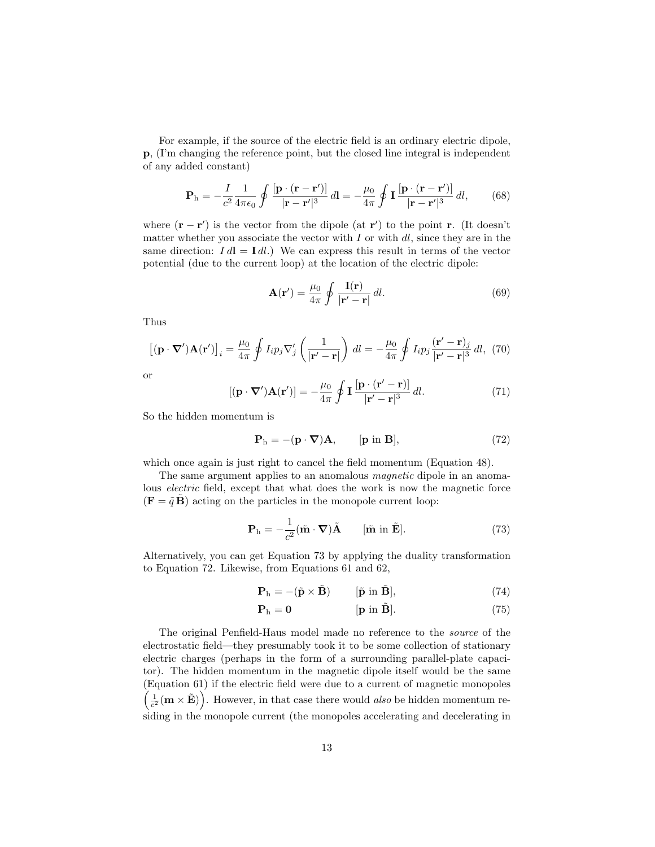For example, if the source of the electric field is an ordinary electric dipole, p, (I'm changing the reference point, but the closed line integral is independent of any added constant)

$$
\mathbf{P}_{\mathrm{h}} = -\frac{I}{c^2} \frac{1}{4\pi\epsilon_0} \oint \frac{\left[\mathbf{p} \cdot (\mathbf{r} - \mathbf{r}')\right]}{|\mathbf{r} - \mathbf{r}'|^3} d\mathbf{l} = -\frac{\mu_0}{4\pi} \oint \mathbf{I} \frac{\left[\mathbf{p} \cdot (\mathbf{r} - \mathbf{r}')\right]}{|\mathbf{r} - \mathbf{r}'|^3} d\mathbf{l},\qquad(68)
$$

where  $(\mathbf{r} - \mathbf{r}')$  is the vector from the dipole (at  $\mathbf{r}'$ ) to the point **r**. (It doesn't matter whether you associate the vector with  $I$  or with  $dl$ , since they are in the same direction:  $I d\mathbf{l} = \mathbf{I} d\mathbf{l}$ .) We can express this result in terms of the vector potential (due to the current loop) at the location of the electric dipole:

$$
\mathbf{A}(\mathbf{r}') = \frac{\mu_0}{4\pi} \oint \frac{\mathbf{I}(\mathbf{r})}{|\mathbf{r}' - \mathbf{r}|} dl.
$$
 (69)

Thus

$$
\left[ (\mathbf{p} \cdot \nabla') \mathbf{A} (\mathbf{r}') \right]_i = \frac{\mu_0}{4\pi} \oint I_i p_j \nabla'_j \left( \frac{1}{|\mathbf{r}' - \mathbf{r}|} \right) dl = -\frac{\mu_0}{4\pi} \oint I_i p_j \frac{(\mathbf{r}' - \mathbf{r})_j}{|\mathbf{r}' - \mathbf{r}|^3} dl, (70)
$$

or

$$
[(\mathbf{p} \cdot \nabla')\mathbf{A}(\mathbf{r}')] = -\frac{\mu_0}{4\pi} \oint \mathbf{I} \frac{[\mathbf{p} \cdot (\mathbf{r}' - \mathbf{r})]}{|\mathbf{r}' - \mathbf{r}|^3} dl.
$$
 (71)

So the hidden momentum is

$$
\mathbf{P}_{h} = -(\mathbf{p} \cdot \nabla) \mathbf{A}, \qquad [\mathbf{p} \text{ in } \mathbf{B}], \tag{72}
$$

which once again is just right to cancel the field momentum (Equation 48).

The same argument applies to an anomalous *magnetic* dipole in an anomalous electric field, except that what does the work is now the magnetic force  $(\mathbf{F} = \tilde{q} \tilde{\mathbf{B}})$  acting on the particles in the monopole current loop:

$$
\mathbf{P}_{\mathrm{h}} = -\frac{1}{c^2} (\tilde{\mathbf{m}} \cdot \mathbf{\nabla}) \tilde{\mathbf{A}} \qquad [\tilde{\mathbf{m}} \text{ in } \tilde{\mathbf{E}}]. \tag{73}
$$

Alternatively, you can get Equation 73 by applying the duality transformation to Equation 72. Likewise, from Equations 61 and 62,

$$
\mathbf{P}_{h} = -(\tilde{\mathbf{p}} \times \tilde{\mathbf{B}}) \qquad [\tilde{\mathbf{p}} \text{ in } \tilde{\mathbf{B}}], \tag{74}
$$

$$
\mathbf{P}_{h} = \mathbf{0} \qquad \qquad [\mathbf{p} \text{ in } \tilde{\mathbf{B}}]. \tag{75}
$$

The original Penfield-Haus model made no reference to the source of the electrostatic field—they presumably took it to be some collection of stationary electric charges (perhaps in the form of a surrounding parallel-plate capacitor). The hidden momentum in the magnetic dipole itself would be the same (Equation 61) if the electric field were due to a current of magnetic monopoles  $\left(\frac{1}{c^2}(\mathbf{m}\times\tilde{\mathbf{E}})\right)$ . However, in that case there would also be hidden momentum residing in the monopole current (the monopoles accelerating and decelerating in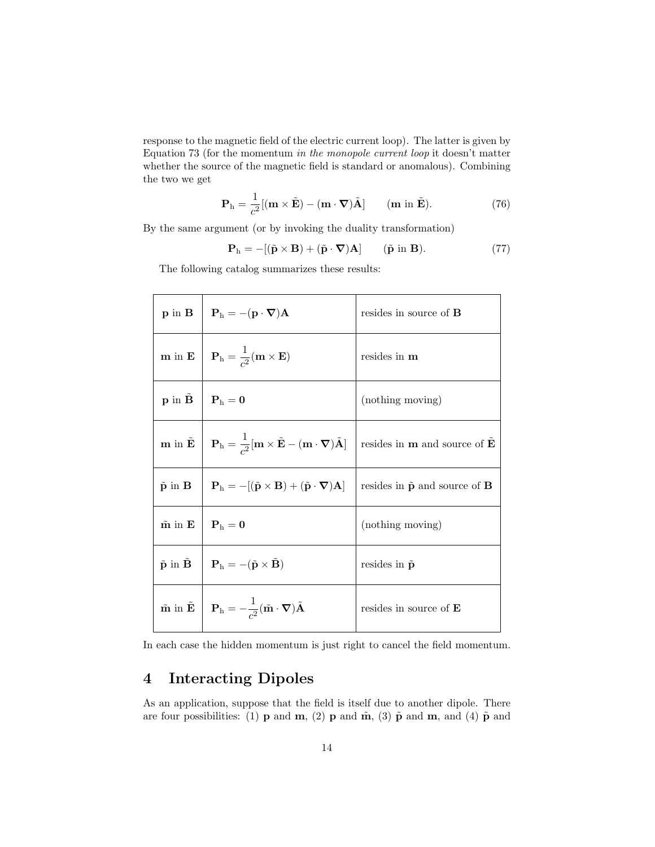response to the magnetic field of the electric current loop). The latter is given by Equation 73 (for the momentum in the monopole current loop it doesn't matter whether the source of the magnetic field is standard or anomalous). Combining the two we get

$$
\mathbf{P}_{\mathrm{h}} = \frac{1}{c^2} [(\mathbf{m} \times \tilde{\mathbf{E}}) - (\mathbf{m} \cdot \nabla) \tilde{\mathbf{A}}] \qquad (\mathbf{m} \text{ in } \tilde{\mathbf{E}}). \tag{76}
$$

By the same argument (or by invoking the duality transformation)

$$
\mathbf{P}_{h} = -[(\tilde{\mathbf{p}} \times \mathbf{B}) + (\tilde{\mathbf{p}} \cdot \nabla)\mathbf{A}] \qquad (\tilde{\mathbf{p}} \text{ in } \mathbf{B}). \tag{77}
$$

The following catalog summarizes these results:

|                                      | $\mathbf{p}$ in $\mathbf{B}$   $\mathbf{P}_h = -(\mathbf{p} \cdot \nabla) \mathbf{A}$                                                                                                                                     | resides in source of <b>B</b>                          |
|--------------------------------------|---------------------------------------------------------------------------------------------------------------------------------------------------------------------------------------------------------------------------|--------------------------------------------------------|
|                                      | <b>m</b> in <b>E</b> $\mathbf{P}_h = \frac{1}{c^2} (\mathbf{m} \times \mathbf{E})$                                                                                                                                        | resides in m                                           |
| $\mathbf{p}$ in $\tilde{\mathbf{B}}$ | $\mathbf{P}_\mathrm{h}=\mathbf{0}$                                                                                                                                                                                        | (nothing moving)                                       |
|                                      | $\mathbf{m} \text{ in } \tilde{\mathbf{E}} \begin{array}{ c c c } \hline \mathbf{P}_\text{h}=\frac{1}{c^2}[\mathbf{m}\times\tilde{\mathbf{E}}-(\mathbf{m}\cdot\boldsymbol{\nabla})\tilde{\mathbf{A}}] \hline \end{array}$ | resides in $m$ and source of $E$                       |
|                                      | $\tilde{\mathbf{p}}$ in $\mathbf{B}$   $\mathbf{P}_{\mathrm{h}} = -[(\tilde{\mathbf{p}} \times \mathbf{B}) + (\tilde{\mathbf{p}} \cdot \nabla) \mathbf{A}]$                                                               | resides in $\tilde{\mathbf{p}}$ and source of <b>B</b> |
| $\tilde{\mathbf{m}}$ in $\mathbf{E}$ | $\mathbf{P}_{\mathrm{h}} = \mathbf{0}$                                                                                                                                                                                    | (nothing moving)                                       |
|                                      | $\tilde{\mathbf{p}}$ in $\tilde{\mathbf{B}}$   $\mathbf{P}_h = -(\tilde{\mathbf{p}} \times \tilde{\mathbf{B}})$                                                                                                           | resides in $\tilde{\mathbf{p}}$                        |
|                                      | $\tilde{\mathbf{m}}$ in $\tilde{\mathbf{E}}$ $\begin{array}{c} \mathbf{P}_h = -\frac{1}{c^2} (\tilde{\mathbf{m}} \cdot \nabla) \tilde{\mathbf{A}} \end{array}$                                                            | resides in source of $E$                               |

In each case the hidden momentum is just right to cancel the field momentum.

## 4 Interacting Dipoles

As an application, suppose that the field is itself due to another dipole. There are four possibilities: (1) **p** and **m**, (2) **p** and **m**, (3)  $\tilde{\mathbf{p}}$  and **m**, and (4)  $\tilde{\mathbf{p}}$  and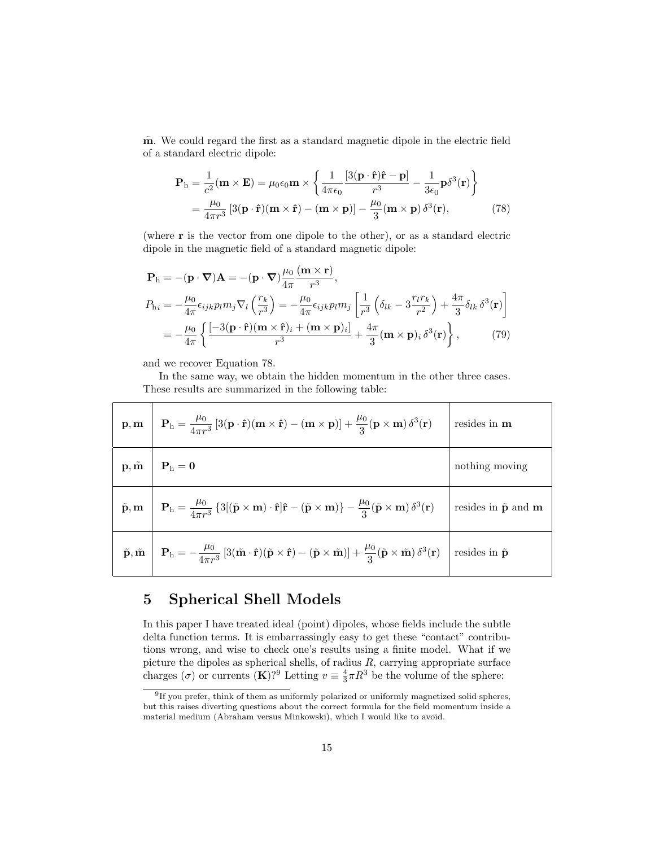$m$ . We could regard the first as a standard magnetic dipole in the electric field of a standard electric dipole:

$$
\mathbf{P}_{\mathrm{h}} = \frac{1}{c^2} (\mathbf{m} \times \mathbf{E}) = \mu_0 \epsilon_0 \mathbf{m} \times \left\{ \frac{1}{4\pi \epsilon_0} \frac{[3(\mathbf{p} \cdot \hat{\mathbf{r}})\hat{\mathbf{r}} - \mathbf{p}]}{r^3} - \frac{1}{3\epsilon_0} \mathbf{p} \delta^3(\mathbf{r}) \right\}
$$

$$
= \frac{\mu_0}{4\pi r^3} \left[ 3(\mathbf{p} \cdot \hat{\mathbf{r}})(\mathbf{m} \times \hat{\mathbf{r}}) - (\mathbf{m} \times \mathbf{p}) \right] - \frac{\mu_0}{3} (\mathbf{m} \times \mathbf{p}) \delta^3(\mathbf{r}), \tag{78}
$$

(where r is the vector from one dipole to the other), or as a standard electric dipole in the magnetic field of a standard magnetic dipole:

$$
\mathbf{P}_{\mathrm{h}} = -(\mathbf{p} \cdot \nabla) \mathbf{A} = -(\mathbf{p} \cdot \nabla) \frac{\mu_{0}}{4\pi} \frac{(\mathbf{m} \times \mathbf{r})}{r^{3}},
$$
\n
$$
P_{\mathrm{h}i} = -\frac{\mu_{0}}{4\pi} \epsilon_{ijk} p_{l} m_{j} \nabla_{l} \left(\frac{r_{k}}{r^{3}}\right) = -\frac{\mu_{0}}{4\pi} \epsilon_{ijk} p_{l} m_{j} \left[\frac{1}{r^{3}} \left(\delta_{lk} - 3 \frac{r_{l} r_{k}}{r^{2}}\right) + \frac{4\pi}{3} \delta_{lk} \delta^{3}(\mathbf{r})\right]
$$
\n
$$
= -\frac{\mu_{0}}{4\pi} \left\{ \frac{[-3(\mathbf{p} \cdot \hat{\mathbf{r}})(\mathbf{m} \times \hat{\mathbf{r}})_{i} + (\mathbf{m} \times \mathbf{p})_{i}]}{r^{3}} + \frac{4\pi}{3} (\mathbf{m} \times \mathbf{p})_{i} \delta^{3}(\mathbf{r}) \right\}, \tag{79}
$$

and we recover Equation 78.

In the same way, we obtain the hidden momentum in the other three cases. These results are summarized in the following table:

| $\mathbf{p}, \mathbf{m} \left[ \begin{array}{c} \mathbf{P}_\mathrm{h} = \frac{\mu_0}{4\pi r^3} \left[ 3(\mathbf{p} \cdot \hat{\mathbf{r}})(\mathbf{m} \times \hat{\mathbf{r}}) - (\mathbf{m} \times \mathbf{p}) \right] + \frac{\mu_0}{3} (\mathbf{p} \times \mathbf{m}) \, \delta^3(\mathbf{r}) \end{array} \right]$                                                                         | resides in $\mathbf m$ |
|-----------------------------------------------------------------------------------------------------------------------------------------------------------------------------------------------------------------------------------------------------------------------------------------------------------------------------------------------------------------------------------------------|------------------------|
| $\mathbf{p}, \tilde{\mathbf{m}} \parallel \mathbf{P}_h = \mathbf{0}$                                                                                                                                                                                                                                                                                                                          | nothing moving         |
| $\tilde{\mathbf{p}}, \mathbf{m} \left[ \begin{array}{c} \mathbf{P}_h = \frac{\mu_0}{4\pi r^3} \left\{ 3[(\tilde{\mathbf{p}} \times \mathbf{m}) \cdot \hat{\mathbf{r}}] \hat{\mathbf{r}} - (\tilde{\mathbf{p}} \times \mathbf{m}) \right\} - \frac{\mu_0}{3} (\tilde{\mathbf{p}} \times \mathbf{m}) \delta^3(\mathbf{r}) \end{array} \right]$ resides in $\tilde{\mathbf{p}}$ and $\mathbf{m}$ |                        |
| $\tilde{\mathbf{p}}, \tilde{\mathbf{m}} \left  \mathbf{P}_{\mathrm{h}} = -\frac{\mu_0}{4\pi r^3} \left[ 3(\tilde{\mathbf{m}} \cdot \hat{\mathbf{r}})(\tilde{\mathbf{p}} \times \hat{\mathbf{r}}) - (\tilde{\mathbf{p}} \times \tilde{\mathbf{m}}) \right] + \frac{\mu_0}{3} (\tilde{\mathbf{p}} \times \tilde{\mathbf{m}}) \delta^3(\mathbf{r}) \right $ resides in $\tilde{\mathbf{p}}$      |                        |

## 5 Spherical Shell Models

In this paper I have treated ideal (point) dipoles, whose fields include the subtle delta function terms. It is embarrassingly easy to get these "contact" contributions wrong, and wise to check one's results using a finite model. What if we picture the dipoles as spherical shells, of radius  $R$ , carrying appropriate surface charges ( $\sigma$ ) or currents (**K**)?<sup>9</sup> Letting  $v \equiv \frac{4}{3}\pi R^3$  be the volume of the sphere:

<sup>&</sup>lt;sup>9</sup>If you prefer, think of them as uniformly polarized or uniformly magnetized solid spheres, but this raises diverting questions about the correct formula for the field momentum inside a material medium (Abraham versus Minkowski), which I would like to avoid.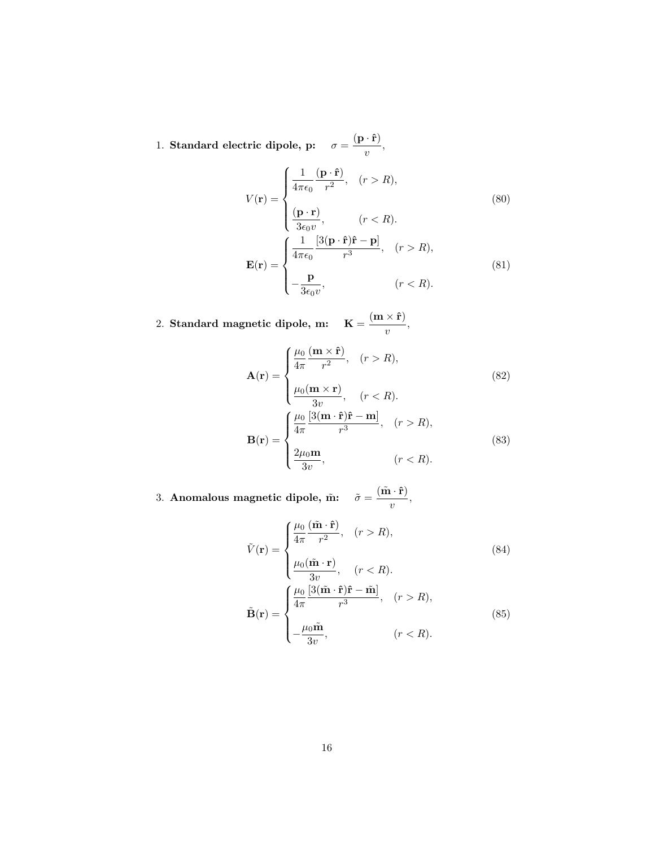1. Standard electric dipole, p:  $\sigma = \frac{(\mathbf{p} \cdot \hat{\mathbf{r}})}$  $\frac{1}{v}$ ,

$$
V(\mathbf{r}) = \begin{cases} \frac{1}{4\pi\epsilon_0} \frac{(\mathbf{p} \cdot \hat{\mathbf{r}})}{r^2}, & (r > R), \\ \frac{(\mathbf{p} \cdot \mathbf{r})}{3\epsilon_0 v}, & (r < R). \end{cases}
$$
(80)  

$$
\mathbf{E}(\mathbf{r}) = \begin{cases} \frac{1}{4\pi\epsilon_0} \frac{[3(\mathbf{p} \cdot \hat{\mathbf{r}})\hat{\mathbf{r}} - \mathbf{p}]}{r^3}, & (r > R), \\ -\frac{\mathbf{p}}{3\epsilon_0 v}, & (r < R). \end{cases}
$$
(81)

2. Standard magnetic dipole, m:  $\mathbf{K} = \frac{(\mathbf{m} \times \mathbf{\hat{r}})}{}$  $\frac{\overline{v}}{v}$ ,

$$
\mathbf{A}(\mathbf{r}) = \begin{cases} \frac{\mu_0}{4\pi} \frac{(\mathbf{m} \times \hat{\mathbf{r}})}{r^2}, & (r > R), \\ \frac{\mu_0(\mathbf{m} \times \mathbf{r})}{3v}, & (r < R). \end{cases}
$$
(82)  

$$
\mathbf{B}(\mathbf{r}) = \begin{cases} \frac{\mu_0}{4\pi} \frac{[3(\mathbf{m} \cdot \hat{\mathbf{r}})\hat{\mathbf{r}} - \mathbf{m}]}{r^3}, & (r > R), \\ \frac{2\mu_0 \mathbf{m}}{3v}, & (r < R). \end{cases}
$$
(83)

3. Anomalous magnetic dipole, m̂:  $\tilde{\sigma} = \frac{(\tilde{\mathbf{m}} \cdot \hat{\mathbf{r}})}{}$  $\frac{1}{v}$ ,

$$
\tilde{V}(\mathbf{r}) = \begin{cases}\n\frac{\mu_0}{4\pi} \frac{(\tilde{\mathbf{m}} \cdot \hat{\mathbf{r}})}{r^2}, & (r > R), \\
\frac{\mu_0(\tilde{\mathbf{m}} \cdot \mathbf{r})}{3v}, & (r < R).\n\end{cases}
$$
\n
$$
\tilde{\mathbf{B}}(\mathbf{r}) = \begin{cases}\n\frac{\mu_0}{4\pi} \frac{[3(\tilde{\mathbf{m}} \cdot \hat{\mathbf{r}})\hat{\mathbf{r}} - \tilde{\mathbf{m}}]}{r^3}, & (r > R), \\
-\frac{\mu_0 \tilde{\mathbf{m}}}{3v}, & (r < R).\n\end{cases}
$$
\n(85)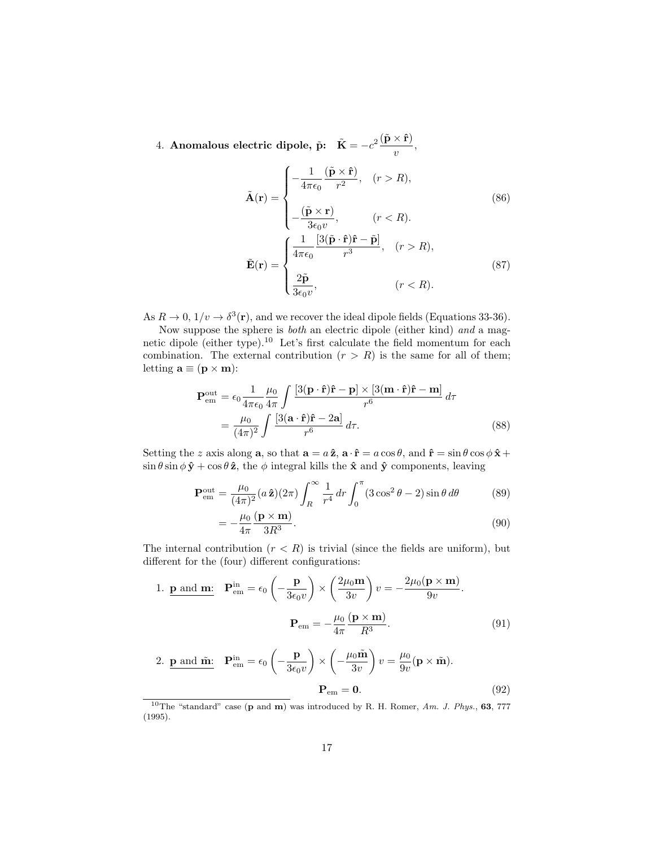4. Anomalous electric dipole,  $\tilde{\mathbf{p}}$ :  $\tilde{\mathbf{K}} = -c^2 \frac{(\tilde{\mathbf{p}} \times \hat{\mathbf{r}})}{|\tilde{\mathbf{p}}|}$  $\frac{\lambda}{v}$ ,

$$
\tilde{\mathbf{A}}(\mathbf{r}) = \begin{cases}\n-\frac{1}{4\pi\epsilon_0} \frac{(\tilde{\mathbf{p}} \times \hat{\mathbf{r}})}{r^2}, & (r > R), \\
-\frac{(\tilde{\mathbf{p}} \times \mathbf{r})}{3\epsilon_0 v}, & (r < R).\n\end{cases}
$$
\n
$$
\tilde{\mathbf{E}}(\mathbf{r}) = \begin{cases}\n\frac{1}{4\pi\epsilon_0} \frac{[3(\tilde{\mathbf{p}} \cdot \hat{\mathbf{r}})\hat{\mathbf{r}} - \tilde{\mathbf{p}}]}{r^3}, & (r > R), \\
\frac{2\tilde{\mathbf{p}}}{3\epsilon_0 v}, & (r < R).\n\end{cases}
$$
\n(87)

As  $R \to 0$ ,  $1/v \to \delta^3(\mathbf{r})$ , and we recover the ideal dipole fields (Equations 33-36).

Now suppose the sphere is both an electric dipole (either kind) and a magnetic dipole (either type).<sup>10</sup> Let's first calculate the field momentum for each combination. The external contribution  $(r > R)$  is the same for all of them; letting  $\mathbf{a} \equiv (\mathbf{p} \times \mathbf{m})$ :

$$
\mathbf{P}_{em}^{out} = \epsilon_0 \frac{1}{4\pi\epsilon_0} \frac{\mu_0}{4\pi} \int \frac{[3(\mathbf{p} \cdot \hat{\mathbf{r}})\hat{\mathbf{r}} - \mathbf{p}] \times [3(\mathbf{m} \cdot \hat{\mathbf{r}})\hat{\mathbf{r}} - \mathbf{m}]}{r^6} d\tau
$$

$$
= \frac{\mu_0}{(4\pi)^2} \int \frac{[3(\mathbf{a} \cdot \hat{\mathbf{r}})\hat{\mathbf{r}} - 2\mathbf{a}]}{r^6} d\tau.
$$
(88)

Setting the z axis along **a**, so that  $\mathbf{a} = a\hat{\mathbf{z}}$ ,  $\mathbf{a} \cdot \hat{\mathbf{r}} = a\cos\theta$ , and  $\hat{\mathbf{r}} = \sin\theta\cos\phi\hat{\mathbf{x}} + \hat{\mathbf{r}}$  $\sin \theta \sin \phi \hat{\mathbf{y}} + \cos \theta \hat{\mathbf{z}}$ , the  $\phi$  integral kills the  $\hat{\mathbf{x}}$  and  $\hat{\mathbf{y}}$  components, leaving

$$
\mathbf{P}_{em}^{out} = \frac{\mu_0}{(4\pi)^2} (a\,\hat{\mathbf{z}})(2\pi) \int_R^{\infty} \frac{1}{r^4} dr \int_0^{\pi} (3\cos^2\theta - 2) \sin\theta \,d\theta \tag{89}
$$

$$
=-\frac{\mu_0}{4\pi} \frac{(\mathbf{p} \times \mathbf{m})}{3R^3}.
$$
\n(90)

The internal contribution  $(r < R)$  is trivial (since the fields are uniform), but different for the (four) different configurations:

1. 
$$
\mathbf{p}
$$
 and  $\mathbf{m}$ :  $\mathbf{P}_{em}^{in} = \epsilon_0 \left( -\frac{\mathbf{p}}{3\epsilon_0 v} \right) \times \left( \frac{2\mu_0 \mathbf{m}}{3v} \right) v = -\frac{2\mu_0 (\mathbf{p} \times \mathbf{m})}{9v}.$   

$$
\mathbf{P}_{em} = -\frac{\mu_0}{4\pi} \frac{(\mathbf{p} \times \mathbf{m})}{R^3}.
$$
(91)

2. 
$$
\underline{\mathbf{p}} \text{ and } \tilde{\mathbf{m}}: \quad \mathbf{P}_{em}^{\text{in}} = \epsilon_0 \left( -\frac{\underline{\mathbf{p}}}{3\epsilon_0 v} \right) \times \left( -\frac{\mu_0 \tilde{\mathbf{m}}}{3v} \right) v = \frac{\mu_0}{9v} (\mathbf{p} \times \tilde{\mathbf{m}}).
$$
  

$$
\mathbf{P}_{em} = \mathbf{0}.
$$
 (92)

<sup>&</sup>lt;sup>10</sup>The "standard" case  $(p \text{ and } m)$  was introduced by R. H. Romer, Am. J. Phys., 63, 777 (1995).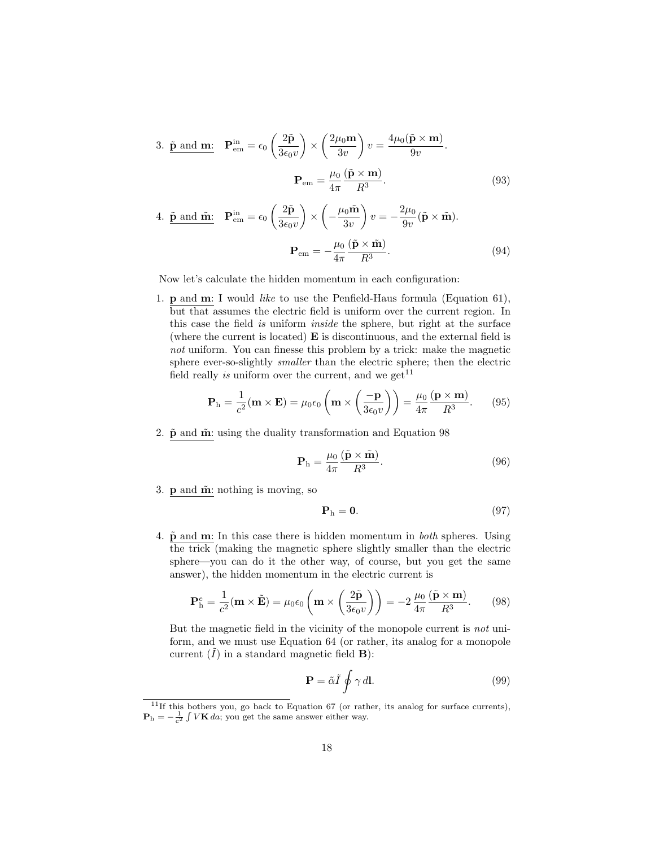3. 
$$
\tilde{\mathbf{p}}
$$
 and  $\mathbf{m}$ :  $\mathbf{P}_{em}^{in} = \epsilon_0 \left( \frac{2\tilde{\mathbf{p}}}{3\epsilon_0 v} \right) \times \left( \frac{2\mu_0 \mathbf{m}}{3v} \right) v = \frac{4\mu_0 (\tilde{\mathbf{p}} \times \mathbf{m})}{9v}.$   

$$
\mathbf{P}_{em} = \frac{\mu_0}{4\pi} \frac{(\tilde{\mathbf{p}} \times \mathbf{m})}{R^3}.
$$
 (93)

4. 
$$
\tilde{\mathbf{p}}
$$
 and  $\tilde{\mathbf{m}}$ :  $\mathbf{P}_{em}^{\text{in}} = \epsilon_0 \left( \frac{2\tilde{\mathbf{p}}}{3\epsilon_0 v} \right) \times \left( -\frac{\mu_0 \tilde{\mathbf{m}}}{3v} \right) v = -\frac{2\mu_0}{9v} (\tilde{\mathbf{p}} \times \tilde{\mathbf{m}}).$   

$$
\mathbf{P}_{em} = -\frac{\mu_0}{4\pi} \frac{(\tilde{\mathbf{p}} \times \tilde{\mathbf{m}})}{R^3}.
$$
 (94)

Now let's calculate the hidden momentum in each configuration:

1. p and m: I would like to use the Penfield-Haus formula (Equation 61), but that assumes the electric field is uniform over the current region. In this case the field is uniform inside the sphere, but right at the surface (where the current is located) E is discontinuous, and the external field is not uniform. You can finesse this problem by a trick: make the magnetic sphere ever-so-slightly smaller than the electric sphere; then the electric field really *is* uniform over the current, and we get<sup>11</sup>

$$
\mathbf{P}_{\mathrm{h}} = \frac{1}{c^2} (\mathbf{m} \times \mathbf{E}) = \mu_0 \epsilon_0 \left( \mathbf{m} \times \left( \frac{-\mathbf{p}}{3 \epsilon_0 v} \right) \right) = \frac{\mu_0}{4\pi} \frac{(\mathbf{p} \times \mathbf{m})}{R^3}.
$$
 (95)

2.  $\tilde{\mathbf{p}}$  and  $\tilde{\mathbf{m}}$ : using the duality transformation and Equation 98

$$
\mathbf{P}_{\mathrm{h}} = \frac{\mu_0}{4\pi} \frac{(\tilde{\mathbf{p}} \times \tilde{\mathbf{m}})}{R^3}.
$$
 (96)

3.  $\bf{p}$  and  $\tilde{\bf{m}}$ : nothing is moving, so

$$
\mathbf{P}_{\mathrm{h}} = \mathbf{0}.\tag{97}
$$

4.  $\tilde{\mathbf{p}}$  and **m**: In this case there is hidden momentum in *both* spheres. Using the trick (making the magnetic sphere slightly smaller than the electric sphere—you can do it the other way, of course, but you get the same answer), the hidden momentum in the electric current is

$$
\mathbf{P}_{\mathrm{h}}^{e} = \frac{1}{c^{2}} (\mathbf{m} \times \tilde{\mathbf{E}}) = \mu_{0} \epsilon_{0} \left( \mathbf{m} \times \left( \frac{2\tilde{\mathbf{p}}}{3\epsilon_{0} v} \right) \right) = -2 \frac{\mu_{0}}{4\pi} \frac{(\tilde{\mathbf{p}} \times \mathbf{m})}{R^{3}}.
$$
 (98)

But the magnetic field in the vicinity of the monopole current is not uniform, and we must use Equation 64 (or rather, its analog for a monopole current  $(I)$  in a standard magnetic field **B**):

$$
\mathbf{P} = \tilde{\alpha}\tilde{I} \oint \gamma \, d\mathbf{l}.\tag{99}
$$

 $11$ If this bothers you, go back to Equation 67 (or rather, its analog for surface currents),  $\mathbf{P}_{\mathrm{h}} = -\frac{1}{c^2} \int V \mathbf{K} \, da$ ; you get the same answer either way.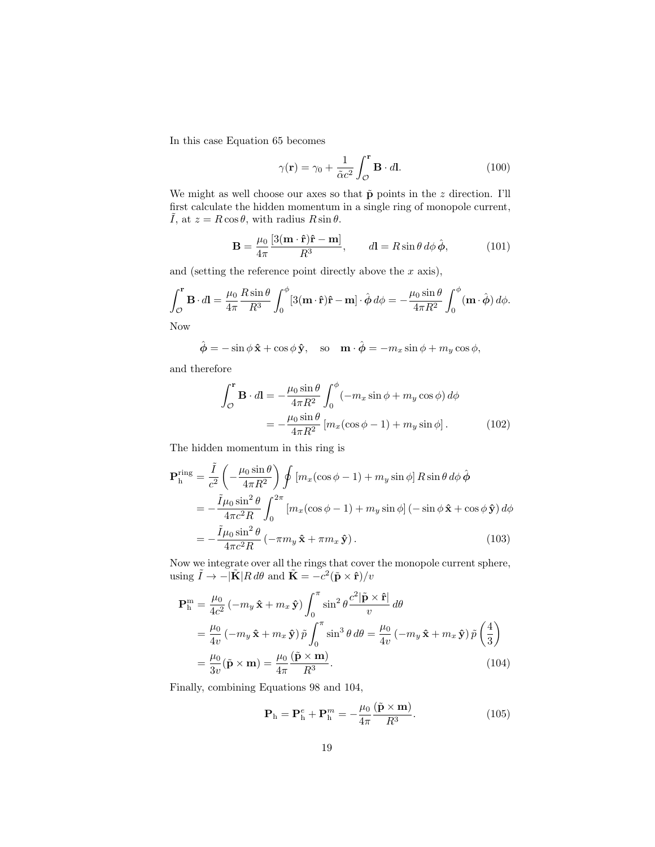In this case Equation 65 becomes

$$
\gamma(\mathbf{r}) = \gamma_0 + \frac{1}{\tilde{\alpha}c^2} \int_{\mathcal{O}}^{\mathbf{r}} \mathbf{B} \cdot d\mathbf{l}.
$$
 (100)

We might as well choose our axes so that  $\tilde{\mathbf{p}}$  points in the z direction. I'll first calculate the hidden momentum in a single ring of monopole current,  $\tilde{I}$ , at  $z = R \cos \theta$ , with radius  $R \sin \theta$ .

$$
\mathbf{B} = \frac{\mu_0}{4\pi} \frac{[3(\mathbf{m} \cdot \hat{\mathbf{r}})\hat{\mathbf{r}} - \mathbf{m}]}{R^3}, \qquad d\mathbf{l} = R \sin \theta \, d\phi \, \hat{\boldsymbol{\phi}}, \tag{101}
$$

and (setting the reference point directly above the  $x$  axis),

$$
\int_{\mathcal{O}}^{\mathbf{r}} \mathbf{B} \cdot d\mathbf{l} = \frac{\mu_0}{4\pi} \frac{R \sin \theta}{R^3} \int_0^{\phi} [3(\mathbf{m} \cdot \hat{\mathbf{r}}) \hat{\mathbf{r}} - \mathbf{m}] \cdot \hat{\boldsymbol{\phi}} d\phi = -\frac{\mu_0 \sin \theta}{4\pi R^2} \int_0^{\phi} (\mathbf{m} \cdot \hat{\boldsymbol{\phi}}) d\phi.
$$

Now

$$
\hat{\phi} = -\sin\phi \,\hat{\mathbf{x}} + \cos\phi \,\hat{\mathbf{y}}, \quad \text{so} \quad \mathbf{m} \cdot \hat{\phi} = -m_x \sin\phi + m_y \cos\phi,
$$

and therefore

$$
\int_{\mathcal{O}}^{\mathbf{r}} \mathbf{B} \cdot d\mathbf{l} = -\frac{\mu_0 \sin \theta}{4\pi R^2} \int_0^{\phi} (-m_x \sin \phi + m_y \cos \phi) d\phi
$$

$$
= -\frac{\mu_0 \sin \theta}{4\pi R^2} \left[ m_x (\cos \phi - 1) + m_y \sin \phi \right]. \tag{102}
$$

The hidden momentum in this ring is

$$
\mathbf{P}_{\mathrm{h}}^{\mathrm{ring}} = \frac{\tilde{I}}{c^{2}} \left( -\frac{\mu_{0} \sin \theta}{4\pi R^{2}} \right) \oint \left[ m_{x} (\cos \phi - 1) + m_{y} \sin \phi \right] R \sin \theta \, d\phi \, \hat{\phi}
$$
  
\n
$$
= -\frac{\tilde{I} \mu_{0} \sin^{2} \theta}{4\pi c^{2} R} \int_{0}^{2\pi} \left[ m_{x} (\cos \phi - 1) + m_{y} \sin \phi \right] \left( -\sin \phi \, \hat{\mathbf{x}} + \cos \phi \, \hat{\mathbf{y}} \right) d\phi
$$
  
\n
$$
= -\frac{\tilde{I} \mu_{0} \sin^{2} \theta}{4\pi c^{2} R} \left( -\pi m_{y} \, \hat{\mathbf{x}} + \pi m_{x} \, \hat{\mathbf{y}} \right). \tag{103}
$$

Now we integrate over all the rings that cover the monopole current sphere, using  $\tilde{I} \to -|\tilde{\mathbf{K}}|R d\theta$  and  $\tilde{\mathbf{K}} = -c^2(\tilde{\mathbf{p}} \times \hat{\mathbf{r}})/v$ 

$$
\mathbf{P}_{\mathrm{h}}^{\mathrm{m}} = \frac{\mu_{0}}{4c^{2}} \left( -m_{y} \hat{\mathbf{x}} + m_{x} \hat{\mathbf{y}} \right) \int_{0}^{\pi} \sin^{2} \theta \frac{c^{2} |\tilde{\mathbf{p}} \times \hat{\mathbf{r}}|}{v} d\theta
$$
\n
$$
= \frac{\mu_{0}}{4v} \left( -m_{y} \hat{\mathbf{x}} + m_{x} \hat{\mathbf{y}} \right) \tilde{p} \int_{0}^{\pi} \sin^{3} \theta d\theta = \frac{\mu_{0}}{4v} \left( -m_{y} \hat{\mathbf{x}} + m_{x} \hat{\mathbf{y}} \right) \tilde{p} \left( \frac{4}{3} \right)
$$
\n
$$
= \frac{\mu_{0}}{3v} (\tilde{\mathbf{p}} \times \mathbf{m}) = \frac{\mu_{0}}{4\pi} \frac{(\tilde{\mathbf{p}} \times \mathbf{m})}{R^{3}}. \tag{104}
$$

Finally, combining Equations 98 and 104,

$$
\mathbf{P}_{\mathrm{h}} = \mathbf{P}_{\mathrm{h}}^{e} + \mathbf{P}_{\mathrm{h}}^{m} = -\frac{\mu_{0}}{4\pi} \frac{(\tilde{\mathbf{p}} \times \mathbf{m})}{R^{3}}.
$$
 (105)